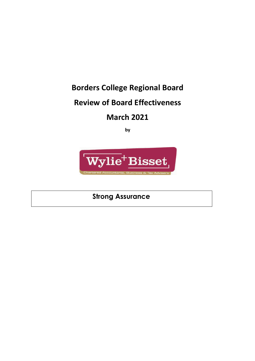# **Borders College Regional Board**

# **Review of Board Effectiveness**

# **March 2021**

**by**



**Strong Assurance**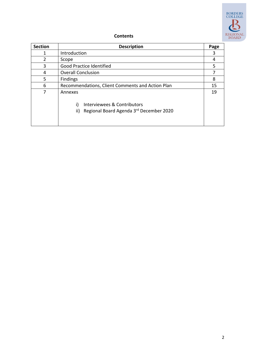

#### **Contents**

| <b>Section</b> | <b>Description</b>                               | Page |
|----------------|--------------------------------------------------|------|
|                | Introduction                                     | 3    |
| $\mathcal{P}$  | Scope                                            | 4    |
| 3              | Good Practice Identified                         | 5    |
| 4              | <b>Overall Conclusion</b>                        |      |
| 5              | Findings                                         | 8    |
| 6              | Recommendations, Client Comments and Action Plan | 15   |
| 7              | Annexes                                          | 19   |
|                | Interviewees & Contributors<br>i)                |      |
|                | Regional Board Agenda 3rd December 2020<br>ii)   |      |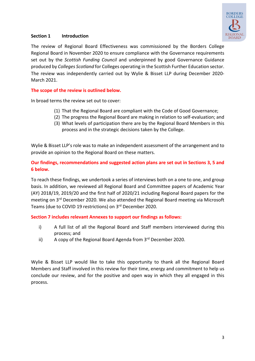

## **Section 1 Introduction**

The review of Regional Board Effectiveness was commissioned by the Borders College Regional Board in November 2020 to ensure compliance with the Governance requirements set out by the *Scottish Funding Council* and underpinned by good Governance Guidance produced by *Colleges Scotland* for Colleges operating in the Scottish Further Education sector. The review was independently carried out by Wylie & Bisset LLP during December 2020- March 2021.

#### **The scope of the review is outlined below.**

In broad terms the review set out to cover:

- (1) That the Regional Board are compliant with the Code of Good Governance;
- (2) The progress the Regional Board are making in relation to self-evaluation; and
- (3) What levels of participation there are by the Regional Board Members in this process and in the strategic decisions taken by the College.

Wylie & Bisset LLP's role was to make an independent assessment of the arrangement and to provide an opinion to the Regional Board on these matters.

## **Our findings, recommendations and suggested action plans are set out in Sections 3, 5 and 6 below.**

To reach these findings, we undertook a series of interviews both on a one to one, and group basis. In addition, we reviewed all Regional Board and Committee papers of Academic Year (AY) 2018/19, 2019/20 and the first half of 2020/21 including Regional Board papers for the meeting on 3rd December 2020. We also attended the Regional Board meeting via Microsoft Teams (due to COVID 19 restrictions) on 3rd December 2020.

#### **Section 7 includes relevant Annexes to support our findings as follows:**

- i) A full list of all the Regional Board and Staff members interviewed during this process; and
- ii) A copy of the Regional Board Agenda from  $3<sup>rd</sup>$  December 2020.

Wylie & Bisset LLP would like to take this opportunity to thank all the Regional Board Members and Staff involved in this review for their time, energy and commitment to help us conclude our review, and for the positive and open way in which they all engaged in this process.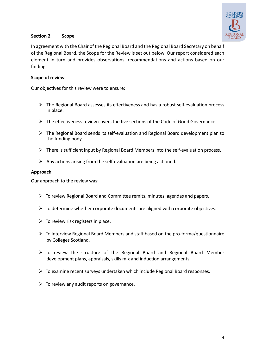

## **Section 2 Scope**

In agreement with the Chair of the Regional Board and the Regional Board Secretary on behalf of the Regional Board, the Scope for the Review is set out below. Our report considered each element in turn and provides observations, recommendations and actions based on our findings.

## **Scope of review**

Our objectives for this review were to ensure:

- $\triangleright$  The Regional Board assesses its effectiveness and has a robust self-evaluation process in place.
- $\triangleright$  The effectiveness review covers the five sections of the Code of Good Governance.
- $\triangleright$  The Regional Board sends its self-evaluation and Regional Board development plan to the funding body.
- $\triangleright$  There is sufficient input by Regional Board Members into the self-evaluation process.
- $\triangleright$  Any actions arising from the self-evaluation are being actioned.

## **Approach**

Our approach to the review was:

- $\triangleright$  To review Regional Board and Committee remits, minutes, agendas and papers.
- $\triangleright$  To determine whether corporate documents are aligned with corporate objectives.
- $\triangleright$  To review risk registers in place.
- $\triangleright$  To interview Regional Board Members and staff based on the pro-forma/questionnaire by Colleges Scotland.
- $\triangleright$  To review the structure of the Regional Board and Regional Board Member development plans, appraisals, skills mix and induction arrangements.
- $\triangleright$  To examine recent surveys undertaken which include Regional Board responses.
- $\triangleright$  To review any audit reports on governance.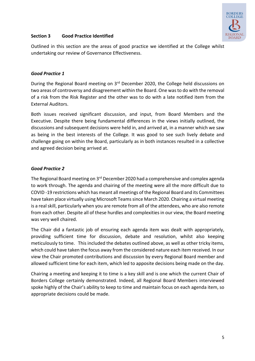

## **Section 3 Good Practice Identified**

Outlined in this section are the areas of good practice we identified at the College whilst undertaking our review of Governance Effectiveness.

## *Good Practice 1*

During the Regional Board meeting on 3rd December 2020, the College held discussions on two areas of controversy and disagreement within the Board. One was to do with the removal of a risk from the Risk Register and the other was to do with a late notified item from the External Auditors.

Both issues received significant discussion, and input, from Board Members and the Executive. Despite there being fundamental differences in the views initially outlined, the discussions and subsequent decisions were held in, and arrived at, in a manner which we saw as being in the best interests of the College. It was good to see such lively debate and challenge going on within the Board, particularly as in both instances resulted in a collective and agreed decision being arrived at.

# *Good Practice 2*

The Regional Board meeting on 3<sup>rd</sup> December 2020 had a comprehensive and complex agenda to work through. The agenda and chairing of the meeting were all the more difficult due to COVID -19 restrictions which has meant all meetings of the Regional Board and its Committees have taken place virtually using Microsoft Teams since March 2020. Chairing a virtual meeting is a real skill, particularly when you are remote from all of the attendees, who are also remote from each other. Despite all of these hurdles and complexities in our view, the Board meeting was very well chaired.

The Chair did a fantastic job of ensuring each agenda item was dealt with appropriately, providing sufficient time for discussion, debate and resolution, whilst also keeping meticulously to time. This included the debates outlined above, as well as other tricky items, which could have taken the focus away from the considered nature each item received. In our view the Chair promoted contributions and discussion by every Regional Board member and allowed sufficient time for each item, which led to apposite decisions being made on the day.

Chairing a meeting and keeping it to time is a key skill and is one which the current Chair of Borders College certainly demonstrated. Indeed, all Regional Board Members interviewed spoke highly of the Chair's ability to keep to time and maintain focus on each agenda item, so appropriate decisions could be made.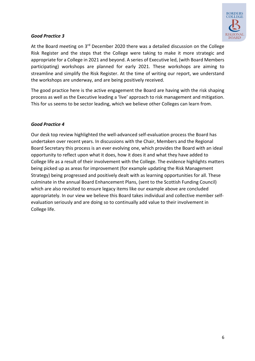

## *Good Practice 3*

At the Board meeting on 3<sup>rd</sup> December 2020 there was a detailed discussion on the College Risk Register and the steps that the College were taking to make it more strategic and appropriate for a College in 2021 and beyond. A series of Executive led, (with Board Members participating) workshops are planned for early 2021. These workshops are aiming to streamline and simplify the Risk Register. At the time of writing our report, we understand the workshops are underway, and are being positively received.

The good practice here is the active engagement the Board are having with the risk shaping process as well as the Executive leading a 'live' approach to risk management and mitigation. This for us seems to be sector leading, which we believe other Colleges can learn from.

## *Good Practice 4*

Our desk top review highlighted the well-advanced self-evaluation process the Board has undertaken over recent years. In discussions with the Chair, Members and the Regional Board Secretary this process is an ever evolving one, which provides the Board with an ideal opportunity to reflect upon what it does, how it does it and what they have added to College life as a result of their involvement with the College. The evidence highlights matters being picked up as areas for improvement (for example updating the Risk Management Strategy) being progressed and positively dealt with as learning opportunities for all. These culminate in the annual Board Enhancement Plans, (sent to the Scottish Funding Council) which are also revisited to ensure legacy items like our example above are concluded appropriately. In our view we believe this Board takes individual and collective member selfevaluation seriously and are doing so to continually add value to their involvement in College life.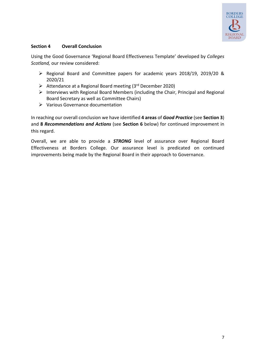

## **Section 4 Overall Conclusion**

Using the Good Governance 'Regional Board Effectiveness Template' developed by *Colleges Scotland,* our review considered:

- Ø Regional Board and Committee papers for academic years 2018/19, 2019/20 & 2020/21
- $\triangleright$  Attendance at a Regional Board meeting (3rd December 2020)
- $\triangleright$  Interviews with Regional Board Members (including the Chair, Principal and Regional Board Secretary as well as Committee Chairs)
- $\triangleright$  Various Governance documentation

In reaching our overall conclusion we have identified **4 areas** of *Good Practice* (see **Section 3**) and **8** *Recommendations and Actions* (see **Section 6** below) for continued improvement in this regard.

Overall, we are able to provide a *STRONG* level of assurance over Regional Board Effectiveness at Borders College. Our assurance level is predicated on continued improvements being made by the Regional Board in their approach to Governance.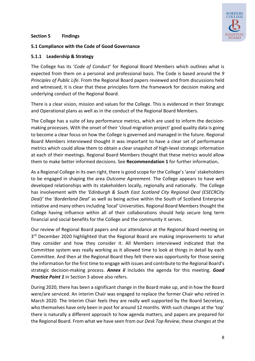

#### **Section 5 Findings**

## **5.1 Compliance with the Code of Good Governance**

## **5.1.1 Leadership & Strategy**

The College has its '*Code of Conduct*' for Regional Board Members which outlines what is expected from them on a personal and professional basis. The Code is based around the *9 Principles of Public Life*. From the Regional Board papers reviewed and from discussions held and witnessed, it is clear that these principles form the framework for decision making and underlying conduct of the Regional Board.

There is a clear vision, mission and values for the College. This is evidenced in their Strategic and Operational plans as well as in the conduct of the Regional Board Members.

The College has a suite of key performance metrics, which are used to inform the decisionmaking processes. With the onset of their 'cloud migration project' good quality data is going to become a clear focus on how the College is governed and managed in the future. Regional Board Members interviewed thought it was important to have a clear set of performance metrics which could allow them to obtain a clear snapshot of high-level strategic information at each of their meetings. Regional Board Members thought that these metrics would allow them to make better informed decisions. See **Recommendation 1** for further information**.**

As a Regional College in its own right, there is good scope for the College's 'area'stakeholders to be engaged in shaping the area *Outcome Agreement*. The College appears to have well developed relationships with its stakeholders locally, regionally and nationally. The College has involvement with the *'Edinburgh & South East Scotland City Regional Deal (ESECRCity Deal)'* the '*Borderland Deal'* as well as being active within the South of Scotland Enterprise initiative and many others including 'local' Universities. Regional Board Members thought the College having influence within all of their collaborations should help secure long term financial and social benefits for the College and the community it serves.

Our review of Regional Board papers and our attendance at the Regional Board meeting on 3<sup>rd</sup> December 2020 highlighted that the Regional Board are making improvements to what they consider and how they consider it. All Members interviewed indicated that the Committee system was really working as it allowed time to look at things in detail by each Committee. And then at the Regional Board they felt there was opportunity for those seeing the information for the first time to engage with issues and contribute to the Regional Board's strategic decision-making process. *Annex ii* includes the agenda for this meeting. *Good Practice Point 1* in Section 3 above also refers.

During 2020, there has been a significant change in the Board make up, and in how the Board were/are serviced. An interim Chair was engaged to replace the former Chair who retired in March 2020. The Interim Chair feels they are really well supported by the Board Secretary, who themselves have only been in post for around 12 months. With such changes at the 'top' there is naturally a different approach to how agenda matters, and papers are prepared for the Regional Board. From what we have seen from our *Desk Top Review*, these changes at the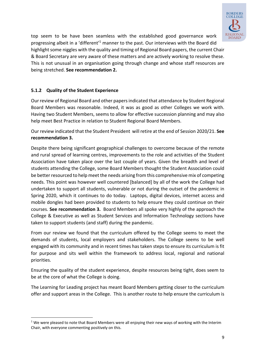

top seem to be have been seamless with the established good governance work progressing albeit in a 'different'<sup>1</sup> manner to the past. Our interviews with the Board did highlight some niggles with the quality and timing of Regional Board papers, the current Chair & Board Secretary are very aware of these matters and are actively working to resolve these. This is not unusual in an organisation going through change and whose staff resources are being stretched. **See recommendation 2.**

# **5.1.2 Quality of the Student Experience**

Our review of Regional Board and other papers indicated that attendance by Student Regional Board Members was reasonable. Indeed, it was as good as other Colleges we work with. Having two Student Members, seems to allow for effective succession planning and may also help meet Best Practice in relation to Student Regional Board Members.

Our review indicated that the Student President will retire at the end of Session 2020/21. **See recommendation 3.**

Despite there being significant geographical challenges to overcome because of the remote and rural spread of learning centres, improvements to the role and activities of the Student Association have taken place over the last couple of years. Given the breadth and level of students attending the College, some Board Members thought the Student Association could be better resourced to help meet the needs arising from this comprehensive mix of competing needs. This point was however well countered [balanced] by all of the work the College had undertaken to support all students, vulnerable or not during the outset of the pandemic in Spring 2020, which it continues to do today. Laptops, digital devices, internet access and mobile dongles had been provided to students to help ensure they could continue on their courses. **See recommendation 3.** Board Members all spoke very highly of the approach the College & Executive as well as Student Services and Information Technology sections have taken to support students (and staff) during the pandemic.

From our review we found that the curriculum offered by the College seems to meet the demands of students, local employers and stakeholders. The College seems to be well engaged with its community and in recent times has taken steps to ensure its curriculum is fit for purpose and sits well within the framework to address local, regional and national priorities.

Ensuring the quality of the student experience, despite resources being tight, does seem to be at the core of what the College is doing.

The Learning for Leading project has meant Board Members getting closer to the curriculum offer and support areas in the College. This is another route to help ensure the curriculum is

 $1$  We were pleased to note that Board Members were all enjoying their new ways of working with the Interim Chair, with everyone commenting positively on this.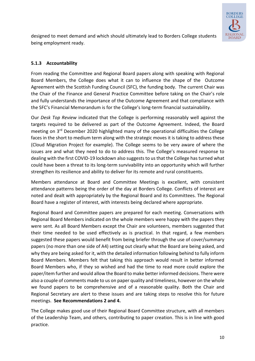

designed to meet demand and which should ultimately lead to Borders College students being employment ready.

# **5.1.3 Accountability**

From reading the Committee and Regional Board papers along with speaking with Regional Board Members, the College does what it can to influence the shape of the Outcome Agreement with the Scottish Funding Council (SFC), the funding body. The current Chair was the Chair of the Finance and General Practice Committee before taking on the Chair's role and fully understands the importance of the Outcome Agreement and that compliance with the SFC's Financial Memorandum is for the College's long-term financial sustainability.

Our *Desk Top Review* indicated that the College is performing reasonably well against the targets required to be delivered as part of the Outcome Agreement. Indeed, the Board meeting on 3<sup>rd</sup> December 2020 highlighted many of the operational difficulties the College faces in the short to medium term along with the strategic moves it is taking to address these (Cloud Migration Project for example). The College seems to be very aware of where the issues are and what they need to do to address this. The College's measured response to dealing with the first COVID-19 lockdown also suggests to us that the College has turned what could have been a threat to its long-term survivability into an opportunity which will further strengthen its resilience and ability to deliver for its remote and rural constituents.

Members attendance at Board and Committee Meetings is excellent, with consistent attendance patterns being the order of the day at Borders College. Conflicts of interest are noted and dealt with appropriately by the Regional Board and its Committees. The Regional Board have a register of interest, with interests being declared where appropriate.

Regional Board and Committee papers are prepared for each meeting. Conversations with Regional Board Members indicated on the whole members were happy with the papers they were sent. As all Board Members except the Chair are volunteers, members suggested that their time needed to be used effectively as is practical. In that regard, a few members suggested these papers would benefit from being briefer through the use of cover/summary papers (no more than one side of A4) setting out clearly what the Board are being asked, and why they are being asked for it, with the detailed information following behind to fully inform Board Members. Members felt that taking this approach would result in better informed Board Members who, if they so wished and had the time to read more could explore the paper/item further and would allow the Board to make better informed decisions. There were also a couple of comments made to us on paper quality and timeliness, however on the whole we found papers to be comprehensive and of a reasonable quality. Both the Chair and Regional Secretary are alert to these issues and are taking steps to resolve this for future meetings. **See Recommendations 2 and 4.**

The College makes good use of their Regional Board Committee structure, with all members of the Leadership Team, and others, contributing to paper creation. This is in line with good practice.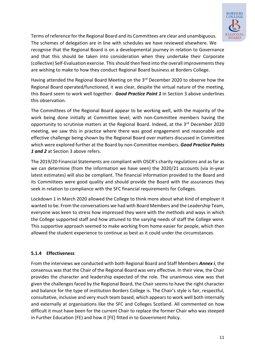

Terms of reference for the Regional Board and its Committees are clear and unambiguous. The schemes of delegation are in line with schedules we have reviewed elsewhere. We

recognise that the Regional Board is on a developmental journey in relation to Governance and that this should be taken into consideration when they undertake their Corporate (collective) Self-Evaluation exercise. This should then feed into the overall improvements they are wishing to make to how they conduct Regional Board business at Borders College.

Having attended the Regional Board Meeting on the 3rd December 2020 to observe how the Regional Board operated/functioned, it was clear, despite the virtual nature of the meeting, this Board seem to work well together. *Good Practice Point 1* in Section 3 above underlines this observation.

The Committees of the Regional Board appear to be working well, with the majority of the work being done initially at Committee level; with non-Committee members having the opportunity to scrutinise matters at the Regional Board. Indeed, at the 3<sup>rd</sup> December 2020 meeting, we saw this in practice where there was good engagement and reasonable and effective challenge being shown by the Regional Board over matters discussed in Committee which were explored further at the Board by non-Committee members. *Good Practice Points 1 and 2* at Section 3 above refers.

The 2019/20 Financial Statements are compliant with OSCR's charity regulations and as far as we can determine (from the information we have seen) the 2020/21 accounts (via in-year latest estimates) will also be compliant. The financial information provided to the Board and its Committees were good quality and should provide the Board with the assurances they seek in relation to compliance with the SFC financial requirements for Colleges.

Lockdown 1 in March 2020 allowed the College to think more about what kind of employer it wanted to be. From the conversations we had with Board Members and the Leadership Team, everyone was keen to stress how impressed they were with the methods and ways in which the College supported staff and how attuned to the varying needs of staff the College were. This supportive approach seemed to make working from home easier for people, which then allowed the student experience to continue as best as it could under the circumstances.

# **5.1.4 Effectiveness**

From the interviews we conducted with both Regional Board and Staff Members *Annex i*, the consensus was that the Chair of the Regional Board was very effective. In their view, the Chair provides the character and leadership expected of the role. The unanimous view was that given the challenges faced by the Regional Board, the Chair seems to have the right character and balance for the type of institution Borders College is. The Chair's style is fair, respectful, consultative, inclusive and very much team based, which appears to work well both internally and externally at organisations like the SFC and Colleges Scotland. All commented on how difficult it must have been for the current Chair to replace the former Chair who was steeped in Further Education (FE) and how it [FE] fitted in to Government Policy.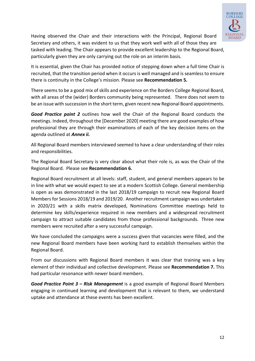

Having observed the Chair and their interactions with the Principal, Regional Board Secretary and others, it was evident to us that they work well with all of those they are tasked with leading. The Chair appears to provide excellent leadership to the Regional Board, particularly given they are only carrying out the role on an interim basis.

It is essential, given the Chair has provided notice of stepping down when a full time Chair is recruited, that the transition period when it occurs is well managed and is seamless to ensure there is continuity in the College's mission. Please see **Recommendation 5.**

There seems to be a good mix of skills and experience on the Borders College Regional Board, with all areas of the (wider) Borders community being represented. There does not seem to be an issue with succession in the short term, given recent new Regional Board appointments.

*Good Practice point 2* outlines how well the Chair of the Regional Board conducts the meetings. Indeed, throughout the [December 2020] meeting there are good examples of how professional they are through their examinations of each of the key decision items on the agenda outlined at *Annex ii.*

All Regional Board members interviewed seemed to have a clear understanding of their roles and responsibilities.

The Regional Board Secretary is very clear about what their role is, as was the Chair of the Regional Board. Please see **Recommendation 6.**

Regional Board recruitment at all levels: staff, student, and general members appears to be in line with what we would expect to see at a modern Scottish College. General membership is open as was demonstrated in the last 2018/19 campaign to recruit new Regional Board Members for Sessions 2018/19 and 2019/20. Another recruitment campaign was undertaken in 2020/21 with a skills matrix developed, Nominations Committee meetings held to determine key skills/experience required in new members and a widespread recruitment campaign to attract suitable candidates from those professional backgrounds. Three new members were recruited after a very successful campaign.

We have concluded the campaigns were a success given that vacancies were filled, and the new Regional Board members have been working hard to establish themselves within the Regional Board.

From our discussions with Regional Board members it was clear that training was a key element of their individual and collective development. Please see **Recommendation 7.** This had particular resonance with newer board members.

*Good Practice Point 3 – Risk Management* is a good example of Regional Board Members engaging in continued learning and development that is relevant to them, we understand uptake and attendance at these events has been excellent.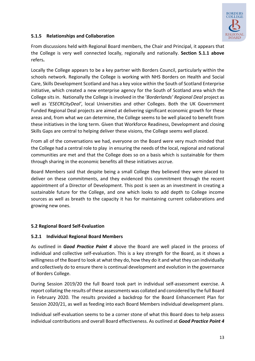

## **5.1.5 Relationships and Collaboration**

From discussions held with Regional Board members, the Chair and Principal, it appears that the College is very well connected locally, regionally and nationally. **Section 5.1.1 above** refers**.** 

Locally the College appears to be a key partner with Borders Council, particularly within the schools network. Regionally the College is working with NHS Borders on Health and Social Care, Skills Development Scotland and has a key voice within the South of Scotland Enterprise initiative, which created a new enterprise agency for the South of Scotland area which the College sits in. Nationally the College is involved in the '*Borderlands' Regional Deal* project as well as '*ESECRCityDeal'*, local Universities and other Colleges. Both the UK Government Funded Regional Deal projects are aimed at delivering significant economic growth for these areas and, from what we can determine, the College seems to be well placed to benefit from these initiatives in the long term. Given that Workforce Readiness, Development and closing Skills Gaps are central to helping deliver these visions, the College seems well placed.

From all of the conversations we had, everyone on the Board were very much minded that the College had a central role to play in ensuring the needs of the local, regional and national communities are met and that the College does so on a basis which is sustainable for them through sharing in the economic benefits all these initiatives accrue.

Board Members said that despite being a small College they believed they were placed to deliver on these commitments, and they evidenced this commitment through the recent appointment of a Director of Development. This post is seen as an investment in creating a sustainable future for the College, and one which looks to add depth to College income sources as well as breath to the capacity it has for maintaining current collaborations and growing new ones.

# **5.2 Regional Board Self-Evaluation**

# **5.2.1 Individual Regional Board Members**

As outlined in *Good Practice Point 4* above the Board are well placed in the process of individual and collective self-evaluation. This is a key strength for the Board, as it shows a willingness of the Board to look at what they do, how they do it and what they can individually and collectively do to ensure there is continual development and evolution in the governance of Borders College.

During Session 2019/20 the full Board took part in individual self-assessment exercise. A report collating the results of these assessments was collated and considered by the full Board in February 2020. The results provided a backdrop for the Board Enhancement Plan for Session 2020/21, as well as feeding into each Board Members individual development plans.

Individual self-evaluation seems to be a corner stone of what this Board does to help assess individual contributions and overall Board effectiveness. As outlined at *Good Practice Point 4*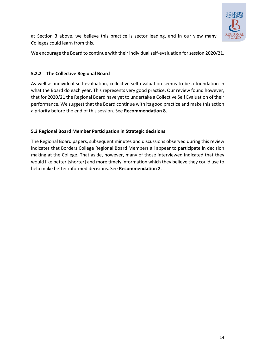

at Section 3 above, we believe this practice is sector leading, and in our view many Colleges could learn from this.

We encourage the Board to continue with their individual self-evaluation for session 2020/21.

## **5.2.2 The Collective Regional Board**

As well as individual self-evaluation, collective self-evaluation seems to be a foundation in what the Board do each year. This represents very good practice. Our review found however, that for 2020/21 the Regional Board have yet to undertake a Collective Self Evaluation of their performance. We suggest that the Board continue with its good practice and make this action a priority before the end of this session. See **Recommendation 8.**

# **5.3 Regional Board Member Participation in Strategic decisions**

The Regional Board papers, subsequent minutes and discussions observed during this review indicates that Borders College Regional Board Members all appear to participate in decision making at the College. That aside, however, many of those interviewed indicated that they would like better [shorter] and more timely information which they believe they could use to help make better informed decisions. See **Recommendation 2**.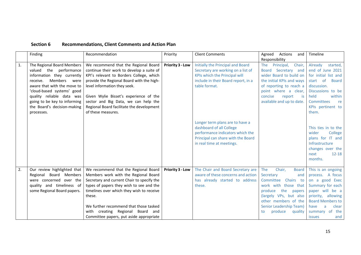| Section 6 |  | <b>Recommendations, Client Comments and Action Plan</b> |  |
|-----------|--|---------------------------------------------------------|--|
|-----------|--|---------------------------------------------------------|--|

|    | Finding                                                                                                                                                                                                                                                                                  | Recommendation                                                                                                                                                                                                                                                                                                                                                  | Priority                | <b>Client Comments</b>                                                                                                                                             | Agreed<br>Actions<br>and                                                                                                                                                                                                                                 | Timeline                                                                                                                                                                                                            |
|----|------------------------------------------------------------------------------------------------------------------------------------------------------------------------------------------------------------------------------------------------------------------------------------------|-----------------------------------------------------------------------------------------------------------------------------------------------------------------------------------------------------------------------------------------------------------------------------------------------------------------------------------------------------------------|-------------------------|--------------------------------------------------------------------------------------------------------------------------------------------------------------------|----------------------------------------------------------------------------------------------------------------------------------------------------------------------------------------------------------------------------------------------------------|---------------------------------------------------------------------------------------------------------------------------------------------------------------------------------------------------------------------|
| 1. | The Regional Board Members<br>valued the performance<br>information they currently<br>Members<br>receive.<br>were<br>aware that with the move to<br>'cloud-based systems' good<br>quality reliable data was<br>going to be key to informing<br>the Board's decision-making<br>processes. | We recommend that the Regional Board<br>continue their work to develop a suite of<br>KPI's relevant to Borders College, which<br>provide the Regional Board with the high-<br>level information they seek.<br>Given Wylie Bisset's experience of the<br>sector and Big Data, we can help the<br>Regional Board facilitate the development<br>of these measures. | <b>Priority 3 - Low</b> | Initially the Principal and Board<br>Secretary are working on a list of<br>KPIs which the Principal will<br>include in their Board report, in a<br>table format.   | Responsibility<br>Principal,<br><b>The</b><br>Chair,<br>Secretary and<br><b>Board</b><br>wider Board to build on<br>the initial KPIs and ways<br>of reporting to reach a<br>point where a clear,<br>report<br>concise<br>is<br>available and up to date. | Already<br>started,<br>end of June 2021<br>for initial list and<br>start of<br><b>Board</b><br>discussion.<br>Discussions to be<br>held<br>within<br>Committees<br>re<br>KPIs pertinent to<br>them.                 |
|    |                                                                                                                                                                                                                                                                                          |                                                                                                                                                                                                                                                                                                                                                                 |                         | Longer term plans are to have a<br>dashboard of all College<br>performance indicators which the<br>Principal can share with the Board<br>in real time at meetings. |                                                                                                                                                                                                                                                          | This ties in to the<br>College<br>wider<br>plans for IT and<br>Infrastructure<br>changes over the<br>next<br>$12 - 18$<br>months.                                                                                   |
| 2. | Our review highlighted that<br>Regional Board Members<br>were concerned over the<br>quality and timeliness of<br>some Regional Board papers.                                                                                                                                             | We recommend that the Regional Board<br>Members work with the Regional Board<br>Secretary and current Chair to specify the<br>types of papers they wish to see and the<br>timelines over which they wish to receive<br>these.<br>We further recommend that those tasked<br>creating Regional Board and<br>with<br>Committee papers, put aside appropriate       | Priority 3 - Low        | The Chair and Board Secretary are<br>aware of these concerns and action<br>has already started to address<br>these.                                                | The<br>Chair,<br><b>Board</b><br>Secretary<br>and<br>Committee<br>Chairs to<br>work with those that<br>the<br>produce<br>papers<br>(largely VPs, but also<br>other members of the<br><b>Senior Leadership Team)</b><br>produce<br>quality<br>to          | This is an ongoing<br>process. A focus<br>on a good Exec<br>Summary for each<br>paper will be a<br>priority, allowing<br><b>Board Members to</b><br>clear<br>have<br>a<br>summary of<br>the<br>and<br><b>issues</b> |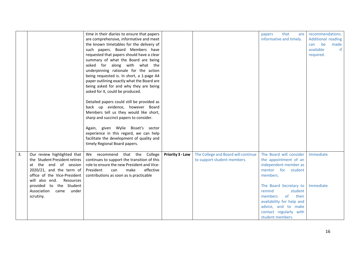|    |                                                                                                                                                                                                                                                             | time in their diaries to ensure that papers<br>are comprehensive, informative and meet<br>the known timetables for the delivery of<br>such papers. Board Members have<br>requested that papers should have a clear<br>summary of what the Board are being<br>asked for along with what the<br>underpinning rationale for the action<br>being requested is. In short, a 1-page A4<br>paper outlining exactly what the Board are<br>being asked for and why they are being<br>asked for it, could be produced.<br>Detailed papers could still be provided as<br>back up evidence, however Board<br>Members tell us they would like short,<br>sharp and succinct papers to consider.<br>Again, given Wylie Bisset's sector<br>experience in this regard, we can help<br>facilitate the development of quality and<br>timely Regional Board papers. |                  |                                                                    | that<br>papers<br>are<br>informative and timely.                                                                                                                                                                                                                                                                                                                                                    | recommendations.<br>Additional reading<br>be<br>made<br>can<br>available<br>if<br>required. |
|----|-------------------------------------------------------------------------------------------------------------------------------------------------------------------------------------------------------------------------------------------------------------|-------------------------------------------------------------------------------------------------------------------------------------------------------------------------------------------------------------------------------------------------------------------------------------------------------------------------------------------------------------------------------------------------------------------------------------------------------------------------------------------------------------------------------------------------------------------------------------------------------------------------------------------------------------------------------------------------------------------------------------------------------------------------------------------------------------------------------------------------|------------------|--------------------------------------------------------------------|-----------------------------------------------------------------------------------------------------------------------------------------------------------------------------------------------------------------------------------------------------------------------------------------------------------------------------------------------------------------------------------------------------|---------------------------------------------------------------------------------------------|
| 3. | Our review highlighted that<br>the Student President retires<br>at the end of session<br>$2020/21$ , and the term of<br>office of the Vice-President<br>will also end.<br>Resources<br>provided to the Student<br>Association<br>under<br>came<br>scrutiny. | We recommend that the College<br>continues to support the transition of this<br>role to ensure the new President and Vice-<br>President<br>make<br>effective<br>can<br>contributions as soon as is practicable                                                                                                                                                                                                                                                                                                                                                                                                                                                                                                                                                                                                                                  | Priority 3 - Low | The College and Board will continue<br>to support student members. | The Board will consider<br>the appointment of an<br>independent member as<br>mentor for student<br>members.<br>The Board Secretary to<br>student<br>remind<br>their<br>members<br>of the contract of the contract of the contract of the contract of the contract of the contract of the contract<br>availability for help and<br>advice, and to make<br>contact regularly with<br>student members. | Immediate<br>Immediate                                                                      |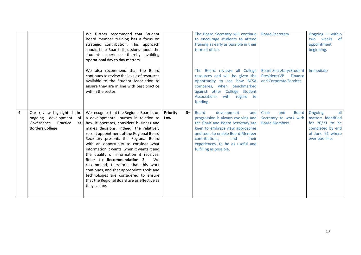|    |                                                                                                                     | We further recommend that Student<br>Board member training has a focus on<br>strategic contribution. This approach<br>should help Board discussions about the<br>student experience thereby avoiding<br>operational day to day matters.<br>We also recommend that the Board<br>continues to review the levels of resources<br>available to the Student Association to<br>ensure they are in line with best practice<br>within the sector.                                                                                                                                                                                                |                         | The Board Secretary will continue<br>to encourage students to attend<br>training as early as possible in their<br>term of office.<br>The Board reviews all College<br>resources and will be given the<br>opportunity to see how BCSA<br>compares, when benchmarked<br>against other College Student<br>Associations, with regard to<br>funding. | <b>Board Secretary</b><br><b>Board Secretary/Student</b><br>President/VP<br>Finance<br>and Corporate Services | Ongoing $-$ within<br>two weeks<br>of<br>appointment<br>beginning.<br>Immediate                                      |
|----|---------------------------------------------------------------------------------------------------------------------|------------------------------------------------------------------------------------------------------------------------------------------------------------------------------------------------------------------------------------------------------------------------------------------------------------------------------------------------------------------------------------------------------------------------------------------------------------------------------------------------------------------------------------------------------------------------------------------------------------------------------------------|-------------------------|-------------------------------------------------------------------------------------------------------------------------------------------------------------------------------------------------------------------------------------------------------------------------------------------------------------------------------------------------|---------------------------------------------------------------------------------------------------------------|----------------------------------------------------------------------------------------------------------------------|
| 4. | Our review highlighted the<br>ongoing development<br>of<br>Governance<br>Practice<br>at I<br><b>Borders College</b> | We recognise that the Regional Board is on<br>a developmental journey in relation to<br>how it operates, considers business and<br>makes decisions. Indeed, the relatively<br>recent appointment of the Regional Board<br>Secretary presents the Regional Board<br>with an opportunity to consider what<br>information it wants, when it wants it and<br>the quality of information it receives.<br>Refer to <b>Recommendation 2.</b><br>We<br>recommend, therefore, that this work<br>continues, and that appropriate tools and<br>technologies are considered to ensure<br>that the Regional Board are as effective as<br>they can be. | Priority<br>$3-$<br>Low | <b>Board</b><br>development<br>and<br>progression is always evolving and<br>the Chair and Board Secretary are<br>keen to embrace new approaches<br>and tools to enable Board Member<br>contributions,<br>and<br>their<br>experiences, to be as useful and<br>fulfilling as possible.                                                            | Chair<br>and<br><b>Board</b><br>Secretary to work with<br><b>Board Members</b>                                | all<br>Ongoing,<br>matters identified<br>for $20/21$ to be<br>completed by end<br>of June 21 where<br>ever possible. |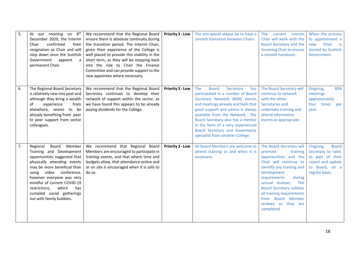| 5. | At our meeting on 8 <sup>th</sup><br>December 2020, the Interim<br>confirmed<br>their<br>Chair<br>resignation as Chair and will<br>step down once the Scottish<br>Government<br>appoint<br>a<br>permanent Chair.                                                                                                                         | We recommend that the Regional Board<br>ensure there is absolute continuity during<br>the transition period. The Interim Chair,<br>given their experience of the College is<br>well placed to provide this stability in the<br>short term, as they will be stepping back<br>into the role to Chair the Finance<br>Committee and can provide support to the<br>new appointee where necessary. | <b>Priority 3 - Low</b> | The aim would always be to have a<br>smooth transition between Chairs.                                                                                                                                                                                                                                                                                                        | The current interim<br>Chair will work with the<br>Board Secretary and the<br>incoming Chair to ensure<br>a smooth handover.                                                                                                                                                                                                 | When the process<br>to appointment a<br>Chair<br>$\overline{\phantom{a}}$ is<br>new<br>started by Scottish<br>Government.    |
|----|------------------------------------------------------------------------------------------------------------------------------------------------------------------------------------------------------------------------------------------------------------------------------------------------------------------------------------------|----------------------------------------------------------------------------------------------------------------------------------------------------------------------------------------------------------------------------------------------------------------------------------------------------------------------------------------------------------------------------------------------|-------------------------|-------------------------------------------------------------------------------------------------------------------------------------------------------------------------------------------------------------------------------------------------------------------------------------------------------------------------------------------------------------------------------|------------------------------------------------------------------------------------------------------------------------------------------------------------------------------------------------------------------------------------------------------------------------------------------------------------------------------|------------------------------------------------------------------------------------------------------------------------------|
| 6. | The Regional Board Secretary<br>is relatively new into post and<br>although they bring a wealth<br>of<br>experience<br>from<br>elsewhere, seems to be<br>already benefiting from peer<br>to peer support from sector<br>colleagues.                                                                                                      | We recommend that the Regional Board<br>Secretary continues to develop their<br>network of support within the sector, as<br>we have found this appears to be already<br>paying dividends for the College.                                                                                                                                                                                    | Priority 3 - Low        | The<br><b>Board</b><br>Secretary<br>has<br>participated in a number of Board<br>Secretary Network (BSN) events<br>and meetings already and feels that<br>good support and advice is always<br>available from the Network. The<br>Board Secretary also has a mentor<br>in the form of a very experienced<br>Board Secretary and Governance<br>specialist from another College. | The Board Secretary will<br>continue to network<br>with the other<br>Secretaries and<br>undertake training and<br>attend information<br>events as appropriate.                                                                                                                                                               | <b>BSN</b><br>Ongoing,<br>meetings<br>approximately<br>four times<br>per<br>vear.                                            |
| 7. | Board<br>Regional<br>Member<br>Training and Development<br>opportunities suggested that<br>physically attending events<br>may be more beneficial than<br>using video conference,<br>however everyone was very<br>mindful of current COVID-19<br>which<br>restrictions,<br>has<br>curtailed social gatherings<br>out with family bubbles. | We recommend that Regional Board<br>Members are encouraged to participate in<br>training events, and that where time and<br>budgets allow, that attendance online and<br>or on site is encouraged when it is safe to<br>do so.                                                                                                                                                               | Priority 3 - Low        | All Board Members are welcome to<br>attend training as and when it is<br>necessary.                                                                                                                                                                                                                                                                                           | The Board Secretary will<br>promote<br>training<br>opportunities and the<br>Chair will continue to<br>identify any training and<br>development<br>requirements<br>during<br>annual reviews.<br>The<br><b>Board Secretary collates</b><br>all training requirements<br>from Board Member<br>reviews as they are<br>completed. | Ongoing.<br><b>Board</b><br>Secretary to raise,<br>as part of their<br>report and update<br>to Board, on a<br>regular basis. |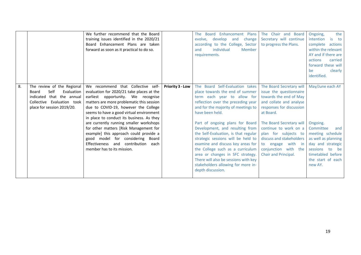|                                                                                                                                                          | We further recommend that the Board<br>training issues identified in the 2020/21<br>Board Enhancement Plans are taken<br>forward as soon as it practical to do so.                                                                                                                                                                                                                                                                                                                                                                             |                         | The Board Enhancement Plans<br>evolve, develop and<br>change<br>according to the College, Sector<br>individual<br>Member<br>and<br>requirements.                                                                                                                                                                                                                                                                                                                                                           | The Chair and Board<br>Secretary will continue<br>to progress the Plans.                                                                                                                                                                                                                                                        | the<br>Ongoing,<br>intention<br>is to<br>complete actions<br>within the relevant<br>AY and if there are<br>actions<br>carried<br>forward these will<br>be<br>clearly<br>identified. |
|----------------------------------------------------------------------------------------------------------------------------------------------------------|------------------------------------------------------------------------------------------------------------------------------------------------------------------------------------------------------------------------------------------------------------------------------------------------------------------------------------------------------------------------------------------------------------------------------------------------------------------------------------------------------------------------------------------------|-------------------------|------------------------------------------------------------------------------------------------------------------------------------------------------------------------------------------------------------------------------------------------------------------------------------------------------------------------------------------------------------------------------------------------------------------------------------------------------------------------------------------------------------|---------------------------------------------------------------------------------------------------------------------------------------------------------------------------------------------------------------------------------------------------------------------------------------------------------------------------------|-------------------------------------------------------------------------------------------------------------------------------------------------------------------------------------|
| 8.<br>The review of the Regional<br>Self<br>Evaluation<br>Board<br>indicated that the annual<br>Collective Evaluation took<br>place for session 2019/20. | We recommend that Collective self-<br>evaluation for 2020/21 take places at the<br>earliest opportunity. We recognise<br>matters are more problematic this session<br>due to COVID-19, however the College<br>seems to have a good virtual environment<br>in place to conduct its business. As they<br>are currently running smaller workshops<br>for other matters [Risk Management for<br>example] this approach could provide a<br>good model for considering Board<br>Effectiveness and contribution<br>each<br>member has to its mission. | <b>Priority 3 - Low</b> | The Board Self-Evaluation takes<br>place towards the end of summer<br>term each year to allow for<br>reflection over the preceding year<br>and for the majority of meetings to<br>have been held.<br>Part of ongoing plans for Board<br>Development, and resulting from<br>the Self-Evaluation, is that regular<br>strategic sessions will be held to<br>examine and discuss key areas for<br>the College such as a curriculum<br>area or changes in SFC strategy.<br>There will also be sessions with key | The Board Secretary will<br>issue the questionnaire<br>towards the end of May<br>and collate and analyse<br>responses for discussion<br>at Board.<br>The Board Secretary will<br>continue to work on a<br>plan for subjects to<br>discuss and stakeholders<br>to engage with in<br>conjunction with the<br>Chair and Principal. | May/June each AY<br>Ongoing.<br>Committee<br>and<br>meeting schedule<br>as well as planning<br>day and strategic<br>sessions<br>to be<br>timetabled before<br>the start of each     |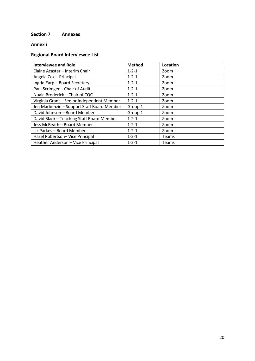## **Section 7 Annexes**

## **Annex i**

# **Regional Board Interviewee List**

| <b>Interviewee and Role</b>                | <b>Method</b> | Location     |
|--------------------------------------------|---------------|--------------|
| Elaine Acaster - Interim Chair             | $1 - 2 - 1$   | Zoom         |
| Angela Cox - Principal                     | $1 - 2 - 1$   | Zoom         |
| Ingrid Earp - Board Secretary              | $1 - 2 - 1$   | Zoom         |
| Paul Scrimger - Chair of Audit             | $1 - 2 - 1$   | Zoom         |
| Nuala Broderick - Chair of CQC             | $1 - 2 - 1$   | Zoom         |
| Virginia Grant - Senior Independent Member | $1 - 2 - 1$   | Zoom         |
| Jen Mackenzie - Support Staff Board Member | Group 1       | Zoom         |
| David Johnson - Board Member               | Group 1       | Zoom         |
| David Black - Teaching Staff Board Member  | $1 - 2 - 1$   | Zoom         |
| Jess McBeath - Board Member                | $1 - 2 - 1$   | Zoom         |
| Liz Parkes - Board Member                  | $1 - 2 - 1$   | Zoom         |
| Hazel Robertson- Vice Principal            | $1 - 2 - 1$   | <b>Teams</b> |
| Heather Anderson - Vice Principal          | $1 - 2 - 1$   | <b>Teams</b> |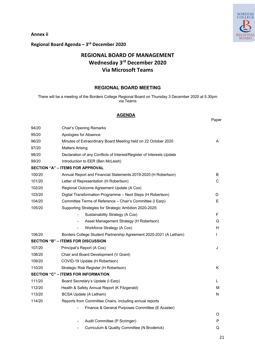BORDERS<br>COLLEGE **BOARD** 

**Annex ii**

# **Regional Board Agenda – 3rd December 2020**

# **REGIONAL BOARD OF MANAGEMENT Wednesday 3rd December 2020 Via Microsoft Teams**

#### **REGIONAL BOARD MEETING**

There will be a meeting of the Borders College Regional Board on Thursday 3 December 2020 at 5.30pm via Teams

#### **AGENDA**

|        |                                                                       | Paper |
|--------|-----------------------------------------------------------------------|-------|
| 94/20  | <b>Chair's Opening Remarks</b>                                        |       |
| 95/20  | Apologies for Absence                                                 |       |
| 96/20  | Minutes of Extraordinary Board Meeting held on 22 October 2020        | A     |
| 97/20  | Matters Arising                                                       |       |
| 98/20  | Declaration of any Conflicts of Interest/Register of Interests Update |       |
| 99/20  | Introduction to EER (Ben McLeish)                                     |       |
|        | <b>SECTION "A" - ITEMS FOR APPROVAL</b>                               |       |
| 100/20 | Annual Report and Financial Statements 2019-2020 (H Robertson)        | B     |
| 101/20 | Letter of Representation (H Robertson)                                | C     |
| 102/20 | Regional Outcome Agreement Update (A Cox)                             |       |
| 103/20 | Digital Transformation Programme - Next Steps (H Robertson)           | D     |
| 104/20 | Committee Terms of Reference - Chair's Committee (I Earp)             | E.    |
| 105/20 | Supporting Strategies for Strategic Ambition 2020-2025:               |       |
|        | Sustainability Strategy (A Cox)<br>$\overline{a}$                     | F     |
|        | Asset Management Strategy (H Robertson)<br>$\overline{\phantom{0}}$   | G     |
|        | Workforce Strategy (A Cox)                                            | H     |
| 106/20 | Borders College Student Partnership Agreement 2020-2021 (A Letham)    | L     |
|        | <b>SECTION "B" – ITEMS FOR DISCUSSION</b>                             |       |
| 107/20 | Principal's Report (A Cox)                                            | J     |
| 108/20 | Chair and Board Development (V Grant)                                 |       |
| 109/20 | COVID-19 Update (H Robertson)                                         |       |
| 110/20 | Strategic Risk Register (H Robertson)                                 | Κ     |
|        | <b>SECTION "C" - ITEMS FOR INFORMATION</b>                            |       |
| 111/20 | Board Secretary's Update (I Earp)                                     | L     |
| 112/20 | Health & Safety Annual Report (K Fitzgerald)                          | м     |
| 113/20 | <b>BCSA Update (A Letham)</b>                                         | N     |
| 114/20 | Reports from Committee Chairs, including annual reports               |       |
|        | Finance & General Purposes Committee (E Acaster)                      |       |
|        |                                                                       | O     |
|        | Audit Committee (P Scrimger)                                          | P     |
|        | Curriculum & Quality Committee (N Broderick)                          | Q     |
|        |                                                                       |       |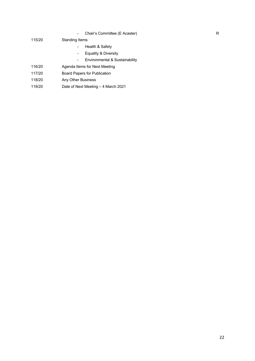- Chair's Committee (E Acaster) R

#### 115/20 Standing Items

- Health & Safety
- Equality & Diversity
- Environmental & Sustainability
- 116/20 Agenda Items for Next Meeting
- 117/20 Board Papers for Publication
- 118/20 Any Other Business
- 119/20 Date of Next Meeting 4 March 2021